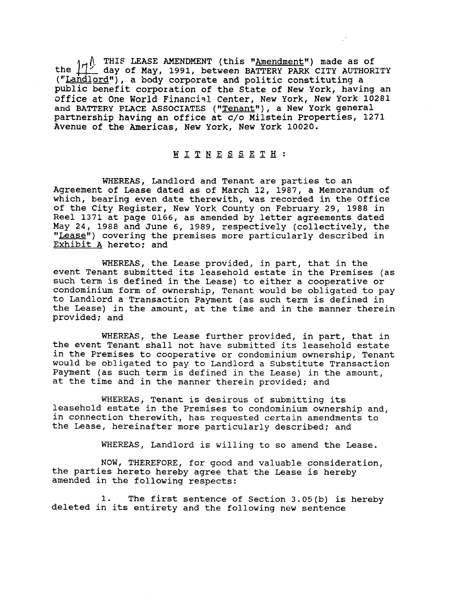THIS LEASE AMENDMENT (this "<u>Amendment</u>") made as of the  $\lfloor \frac{1}{2} \rfloor$  day of May, 1991, between BATTERY PARK CITY AUTHORITY ("Landlord"), a body corporate and politic constituting a public benefit corporation of the State of New York, having an office at One World Financial Center, New York, New York 10281 and BATTERY PLACE ASSOCIATES ("Tenant"), a New York general partnership having an office at c/o Milstein Properties, 1271 Avenue of the Americas, New York, New York 10020.

## WITNESSETH:

WHEREAS, Landlord and Tenant are parties to an Agreement of Lease dated as of March 12, 1987, a Memorandum of which, bearing even date therewith, was recorded in the Office of the City Register, New York County on February 29, 1988 in Reel 1371 at page 0166, as amended by letter agreements dated May 24, 1988 and June 6, 1989, respectively (collectively, the "Lease") covering the premises more particularly described in Exhibit **A** hereto; and

WHEREAS, the Lease provided, in part, that in the event Tenant submitted its leasehold estate in the Premises (as such term is defined in the Lease) to either a cooperative or condominium form of ownership, Tenant would be obligated to pay to Landlord a Transaction Payment (as such term is defined in the Lease) in the amount, at the time and in the manner therein provided; and

WHEREAS, the Lease further provided, in part, that in the event Tenant shall not have submitted its leasehold estate in the Premises to cooperative or condominium ownership, Tenant would be obligated to pay to Landlord a Substitute Transaction Payment (as such term is defined in the Lease) in the amount, at the time and in the manner therein provided; and

WHEREAS, Tenant is desirous of submitting its leasehold estate in the Premises to condominium ownership and, in connection therewith, has requested certain amendments to the Lease, hereinafter more particularly described; and

WHEREAS, Landlord is willing to so amend the Lease.

NOW, THEREFORE, for good and valuable consideration, the parties hereto hereby agree that the Lease is hereby amended in the following respects:

1. The first sentence of section 3.05(b) is hereby deleted in its entirety and the following new sentence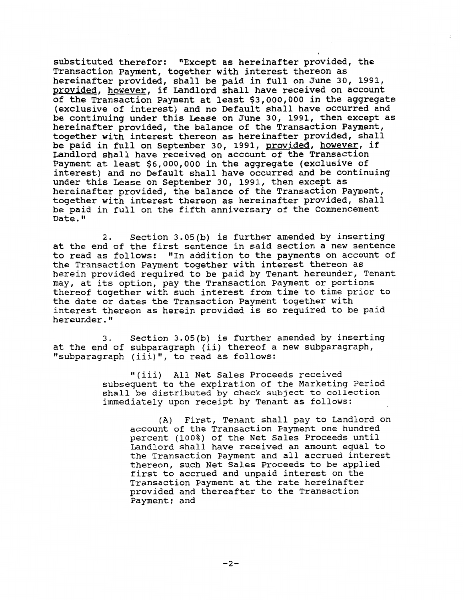substituted therefor: "Except as hereinafter provided, the Transaction Payment, together with interest thereon as hereinafter provided, shall be paid in full on June 30, 1991, provided, however, if Landlord shall have received on account of the Transaction Payment at least \$3,000,000 in the aggregate (exclusive of interest) and no Default shall have occurred and be continuing under this Lease on June 30, 1991, then except as hereinafter provided, the balance of the Transaction Payment, together with interest thereon as hereinafter provided, shall be paid in full on September 30, 1991, provided, however, if Landlord shall have received on account of the Transaction Payment at least \$6,000,000 in the aggregate (exclusive of interest) and no Default shall have occurred and be continuing under this Lease on September 30, 1991, then except as hereinafter provided, the balance of the Transaction Payment, together with interest thereon as hereinafter provided, shall be paid in full on the fifth anniversary of the Commencement Date."

2. Section 3.05(b) is further amended by inserting at the end of the first sentence in said section a new sentence to read as follows: "In addition to the payments on account of the Transaction Payment together with interest thereon as herein provided required to be paid by Tenant hereunder, Tenant may, at its option, pay the Transaction Payment or portions thereof together with such interest from time to time prior to the date or dates the Transaction Payment together with interest thereon as herein provided is so required to be paid hereunder."

3. Section 3.05(b) is further amended by inserting at the end of subparagraph (ii) thereof a new subparagraph, "subparagraph (iii)", to read as follows:

> "(iii) All Net Sales Proceeds received subsequent to the expiration of the Marketing Period shall be distributed by check subject to collection immediately upon receipt by Tenant as follows:

(A) First, Tenant shall pay to Landlord on account of the Transaction Payment one hundred percent (100%) of the Net Sales Proceeds until Landlord shall have received an amount equal to the Transaction Payment and all accrued interest thereon, such Net Sales Proceeds to be applied first to accrued and unpaid interest on the Transaction Payment at the rate hereinafter provided and thereafter to the Transaction Payment; and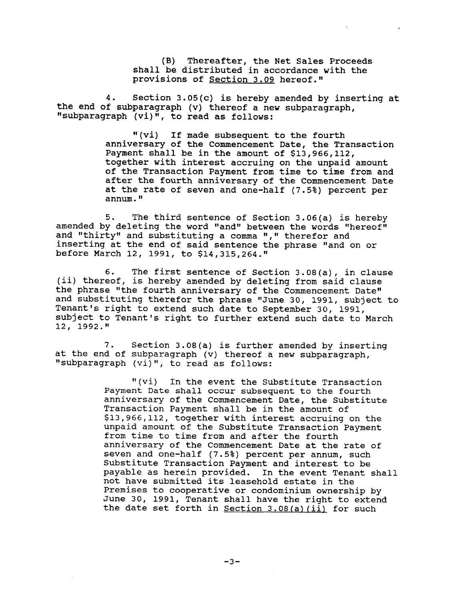(B) Thereafter, the Net Sales Proceeds shall be distributed in accordance with the provisions of Section 3.09 hereof."

4. Section 3.05(c) is hereby amended by inserting at the end of subparagraph (v) thereof a new subparagraph, **If** subparagraph (vi) ", to read as follows:

> "(vi) If made subsequent to the fourth anniversary of the Commencement Date, the Transaction Payment shall be in the amount of \$13,966,112, together with interest accruing on the unpaid amount of the Transaction Payment from time to time from and after the fourth anniversary of the Commencement Date at the rate of seven and one-half (7.5%) percent per annum.

5. The third sentence of Section 3.06(a) is hereby amended by deleting the word "and" between the words "hereof" and "thirty" and substituting a comma "," therefor and inserting at the end of said sentence the phrase "and on or before March 12, 1991, to \$14,315,264."

6. The first sentence of section 3.08(a), in clause (ii) thereof, is hereby amended by deleting from said clause the phrase "the fourth anniversary of the Commencement Date" and substituting therefor the phrase "June 30, 1991, subject to Tenant's right to extend such date to September 30, 1991, subject to Tenant's right to further extend such date to March 12, 1992."

7. Section 3.08(a) is further amended by inserting at the end of subparagraph (v) thereof a new subparagraph, "subparagraph (vi)", to read as follows:

> "(vi) In the event the Substitute Transaction Payment Date shall occur subsequent to the fourth anniversary of the Commencement Date, the Substitute Transaction Payment shall be in the amount of \$13,966,112, together with interest accruing on the unpaid amount of the Substitute Transaction Payment from time to time from and after the fourth anniversary of the Commencement Date at the rate of seven and one-half (7.5%) percent per annum, such Substitute Transaction Payment and interest to be<br>payable as herein provided. In the event Tenant shall payable as herein provided. not have submitted its leasehold estate in the Premises to cooperative or condominium ownership by June 30, 1991, Tenant shall have the right to extend the date set forth in  $Section 3.08(a) (ii)$  for such

> > $-3-$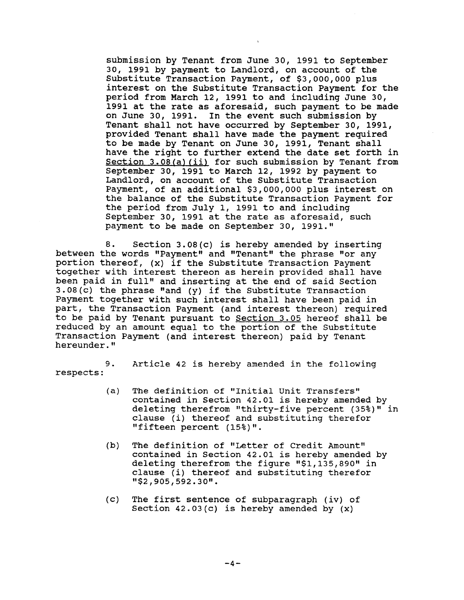submission by Tenant from June 30, 1991 to September 30, 1991 by payment to Landlord, on account of the Substitute Transaction Payment, of \$3,000,000 plus interest on the Substitute Transaction Payment for the period from March 12, 1991 to and including June 30, 1991 at the rate as aforesaid, such payment to be made on June 30, 1991. In the event such submission by Tenant shall not have occurred by September 30, 1991, provided Tenant shall have made the payment required to be made by Tenant on June 30, 1991, Tenant shall have the right to further extend the date set forth in Section 3.08(a) (ii) for such submission by Tenant from September 30, 1991 to March 12, 1992 by payment to Landlord, on account of the Substitute Transaction Payment, of an additional \$3,000,000 plus interest on the balance of the Substitute Transaction Payment for the period from July 1, 1991 to and including September 30, 1991 at the rate as aforesaid, such payment to be made on September 30, 1991."

8. Section 3.08(c) is hereby amended by inserting between the words "Payment" and "Tenant" the phrase "or any portion thereof, (x) if the Substitute Transaction Payment together with interest thereon as herein provided shall have been paid in full" and inserting at the end of said Section 3.08(c) the phrase "and (y) if the Substitute Transaction Payment together with such interest shall have been paid in part, the Transaction Payment (and interest thereon) required to be paid by Tenant pursuant to Section 3.05 hereof shall be reduced by an amount equal to the portion of the Substitute Transaction Payment (and interest thereon) paid by Tenant hereunder."

respects :

9. Article 42 is hereby amended in the following

- (a) The definition of "Initial Unit Transfers" contained in Section 42.01 is hereby amended by deleting therefrom "thirty-five percent (35%)" in clause (i) thereof and substituting therefor "fifteen percent (15%)".
- (b) The definition of "Letter of Credit Amount" contained in Section 42.01 is hereby amended by deleting therefrom the figure  $"$1,135,890"$  in clause (i) thereof and substituting therefor "\$2,905,592.30".
- (c) The first sentence of subparagraph (iv) of Section 42.03(c) is hereby amended by (x)

 $-4-$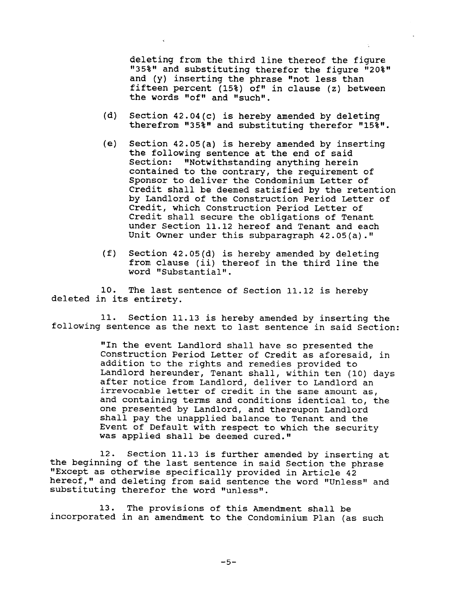deleting from the third line thereof the figure "35%" and substituting therefor the figure "20%" and (y) inserting the phrase "not less than fifteen percent (15%) of" in clause (z) between the words "of" and "such".

- (d) Section 42.04(c) is hereby amended by deleting therefrom  $"35\$ " and substituting therefor  $"15\$ ".
- (e) Section 42.05(a) is hereby amended by inserting the following sentence at the end of said Section: "Notwithstanding anything herein contained to the contrary, the requirement of Sponsor to deliver the Condominium Letter of Credit shall be deemed satisfied by the retention by Landlord of the Construction Period Letter of Credit, which Construction Period Letter of Credit shall secure the obligations of Tenant under Section 11.12 hereof and Tenant and each Unit Owner under this subparagraph  $42.05(a)$ ."
- (f) Section 42.05(d) is hereby amended by deleting from clause (ii) thereof in the third line the word "Substantial".

10. The last sentence of section 11.12 is hereby deleted in its entirety.

11. Section 11.13 is hereby amended by inserting the following sentence as the next to last sentence in said Section:

> "In the event Landlord shall have so presented the Construction Period Letter of Credit as aforesaid, in addition to the rights and remedies provided to Landlord hereunder, Tenant shall, within ten (10) days after notice from Landlord, deliver to Landlord an irrevocable letter of credit in the same amount as, and containing terms and conditions identical to, the one presented by Landlord, and thereupon Landlord shall pay the unapplied balance to Tenant and the Event of Default with respect to which the security was applied shall be deemed cured."

12. Section 11.13 is further amended by inserting at the beginning of the last sentence in said Section the phrase "Except as otherwise specifically provided in Article 42 hereof," and deleting from said sentence the word "Unless" and substituting therefor the word "unless".

13. The provisions of this Amendment shall be incorporated in an amendment to the Condominium Plan (as such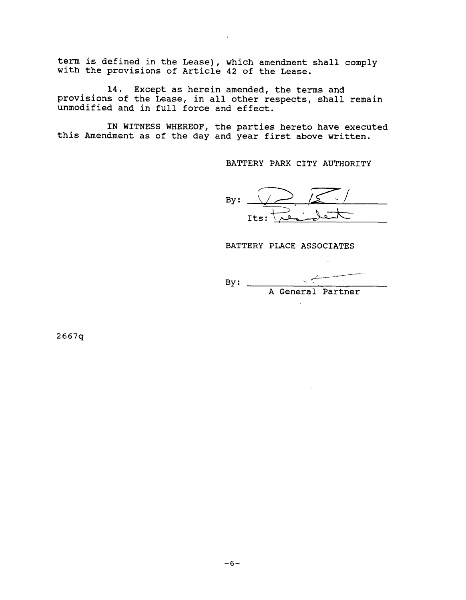term is defined in the Lease), which amendment shall comply with the provisions of Article 42 of the Lease.

14. Except as herein amended, the terms and provisions of the Lease, in all other respects, shall remain unmodified and in full force and effect.

IN WITNESS WHEREOF, the parties hereto have executed this Amendment as of the day and year first above written.

BATTERY PARK CITY AUTHORITY

**C**  By: Its: <u>Le jet</u>

BATTERY PLACE ASSOCIATES

--- - ---- By: -. A General Partner

 $\overline{a}$ 

 $2667q$